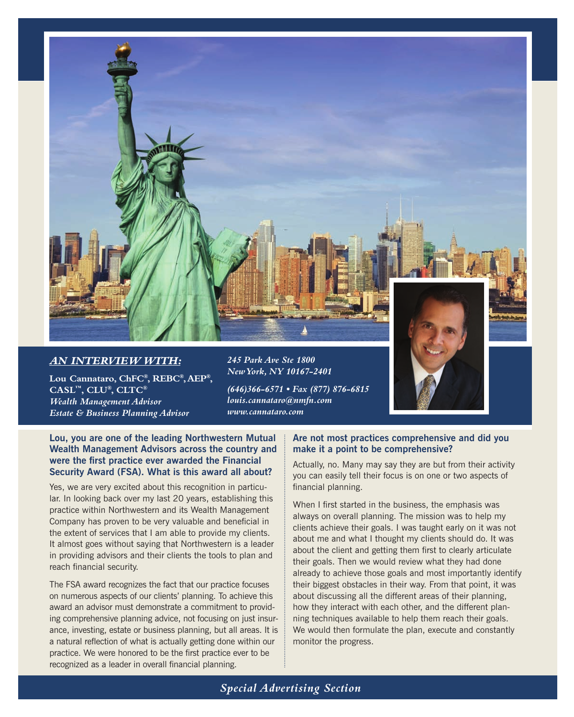

# *An interview with:*

**Lou Cannataro, ChFC®, REBC®, AEP®, CASL™, CLU®, CLTC®** *Wealth Management Advisor Estate & Business Planning Advisor*

*245 Park Ave Ste 1800 New York, NY 10167-2401*



*(646)366-6571 • Fax (877) 876-6815 louis.cannataro@nmfn.com www.cannataro.com*

**Lou, you are one of the leading Northwestern Mutual Wealth Management Advisors across the country and were the first practice ever awarded the Financial Security Award (FSA). What is this award all about?**

Yes, we are very excited about this recognition in particular. In looking back over my last 20 years, establishing this practice within Northwestern and its Wealth Management Company has proven to be very valuable and beneficial in the extent of services that I am able to provide my clients. It almost goes without saying that Northwestern is a leader in providing advisors and their clients the tools to plan and reach financial security.

The FSA award recognizes the fact that our practice focuses on numerous aspects of our clients' planning. To achieve this award an advisor must demonstrate a commitment to providing comprehensive planning advice, not focusing on just insurance, investing, estate or business planning, but all areas. It is a natural reflection of what is actually getting done within our practice. We were honored to be the first practice ever to be recognized as a leader in overall financial planning.

#### **Are not most practices comprehensive and did you make it a point to be comprehensive?**

Actually, no. Many may say they are but from their activity you can easily tell their focus is on one or two aspects of financial planning.

When I first started in the business, the emphasis was always on overall planning. The mission was to help my clients achieve their goals. I was taught early on it was not about me and what I thought my clients should do. It was about the client and getting them first to clearly articulate their goals. Then we would review what they had done already to achieve those goals and most importantly identify their biggest obstacles in their way. From that point, it was about discussing all the different areas of their planning, how they interact with each other, and the different planning techniques available to help them reach their goals. We would then formulate the plan, execute and constantly monitor the progress.